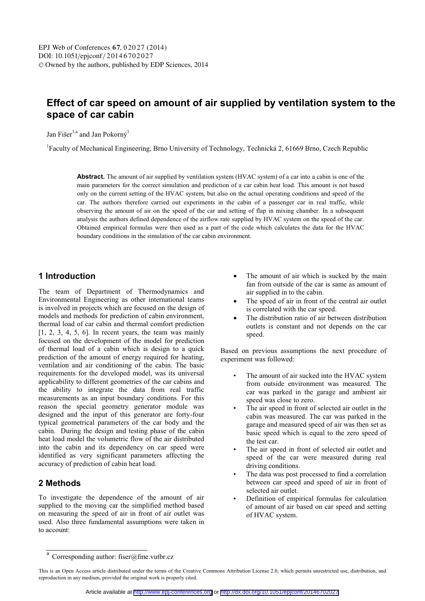# **Effect of car speed on amount of air supplied by ventilation system to the space of car cabin**

Jan Fišer<sup>1,a</sup> and Jan Pokorný<sup>1</sup>

<sup>1</sup>Faculty of Mechanical Engineering, Brno University of Technology, Technická 2, 61669 Brno, Czech Republic

**Abstract.** The amount of air supplied by ventilation system (HVAC system) of a car into a cabin is one of the main parameters for the correct simulation and prediction of a car cabin heat load. This amount is not based only on the current setting of the HVAC system, but also on the actual operating conditions and speed of the car. The authors therefore carried out experiments in the cabin of a passenger car in real traffic, while observing the amount of air on the speed of the car and setting of flap in mixing chamber. In a subsequent analysis the authors defined dependence of the airflow rate supplied by HVAC system on the speed of the car. Obtained empirical formulas were then used as a part of the code which calculates the data for the HVAC boundary conditions in the simulation of the car cabin environment.

## **1 Introduction**

The team of Department of Thermodynamics and Environmental Engineering as other international teams is involved in projects which are focused on the design of models and methods for prediction of cabin environment, thermal load of car cabin and thermal comfort prediction  $[1, 2, 3, 4, 5, 6]$ . In recent years, the team was mainly focused on the development of the model for prediction of thermal load of a cabin which is design to a quick prediction of the amount of energy required for heating, ventilation and air conditioning of the cabin. The basic requirements for the developed model, was its universal applicability to different geometries of the car cabins and the ability to integrate the data from real traffic measurements as an input boundary conditions. For this reason the special geometry generator module was designed and the input of this generator are forty-four typical geometrical parameters of the car body and the cabin. During the design and testing phase of the cabin heat load model the volumetric flow of the air distributed into the cabin and its dependency on car speed were identified as very significant parameters affecting the accuracy of prediction of cabin heat load.

# **2 Methods**

To investigate the dependence of the amount of air supplied to the moving car the simplified method based on measuring the speed of air in front of air outlet was used. Also three fundamental assumptions were taken in to account:

- - The amount of air which is sucked by the main fan from outside of the car is same as amount of air supplied in to the cabin.
- - The speed of air in front of the central air outlet is correlated with the car speed.
- - The distribution ratio of air between distribution outlets is constant and not depends on the car speed.

Based on previous assumptions the next procedure of experiment was followed:

- The amount of air sucked into the HVAC system from outside environment was measured. The car was parked in the garage and ambient air speed was close to zero.
- The air speed in front of selected air outlet in the cabin was measured. The car was parked in the garage and measured speed of air was then set as basic speed which is equal to the zero speed of the test car.
- The air speed in front of selected air outlet and speed of the car were measured during real driving conditions.
- The data was post processed to find a correlation between car speed and speed of air in front of selected air outlet.
- Definition of empirical formulas for calculation of amount of air based on car speed and setting of HVAC system.

a Corresponding author: fiser@fme.vutbr.cz

This is an Open Access article distributed under the terms of the Creative Commons Attribution License 2.0, which permits unrestricted use, distribution, and reproduction in any medium, provided the original work is properly cited.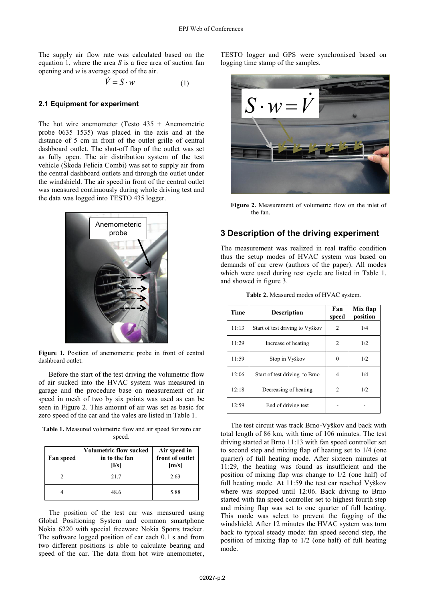The supply air flow rate was calculated based on the equation 1, where the area *S* is a free area of suction fan opening and *w* is average speed of the air.

$$
\dot{V} = S \cdot w \tag{1}
$$

#### **2.1 Equipment for experiment**

The hot wire anemometer (Testo  $435 +$  Anemometric probe 0635 1535) was placed in the axis and at the distance of 5 cm in front of the outlet grille of central dashboard outlet. The shut-off flap of the outlet was set as fully open. The air distribution system of the test vehicle (Škoda Felicia Combi) was set to supply air from the central dashboard outlets and through the outlet under the windshield. The air speed in front of the central outlet was measured continuously during whole driving test and the data was logged into TESTO 435 logger.



**Figure 1.** Position of anemometric probe in front of central dashboard outlet.

Before the start of the test driving the volumetric flow of air sucked into the HVAC system was measured in garage and the procedure base on measurement of air speed in mesh of two by six points was used as can be seen in Figure 2. This amount of air was set as basic for zero speed of the car and the vales are listed in Table 1.

**Table 1.** Measured volumetric flow and air speed for zero car speed.

| Fan speed | <b>Volumetric flow sucked</b><br>in to the fan<br>[l/s] | Air speed in<br>front of outlet<br>[m/s] |
|-----------|---------------------------------------------------------|------------------------------------------|
|           | 21.7                                                    | 2.63                                     |
|           | 48.6                                                    | 5.88                                     |

The position of the test car was measured using Global Positioning System and common smartphone Nokia 6220 with special freeware Nokia Sports tracker. The software logged position of car each 0.1 s and from two different positions is able to calculate bearing and speed of the car. The data from hot wire anemometer,

TESTO logger and GPS were synchronised based on logging time stamp of the samples.



**Figure 2.** Measurement of volumetric flow on the inlet of the fan.

### **3 Description of the driving experiment**

The measurement was realized in real traffic condition thus the setup modes of HVAC system was based on demands of car crew (authors of the paper). All modes which were used during test cycle are listed in Table 1. and showed in figure 3.

| <b>Time</b> | <b>Description</b>              | Fan<br>speed | Mix flap<br>position |
|-------------|---------------------------------|--------------|----------------------|
| 11:13       | Start of test driving to Vyškov | 2            | 1/4                  |
| 11:29       | Increase of heating             | 2            | 1/2                  |
| 11:59       | Stop in Vyškov                  | 0            | 1/2                  |
| 12:06       | Start of test driving to Brno   | 4            | 1/4                  |
| 12:18       | Decreasing of heating           | 2            | 1/2                  |
| 12:59       | End of driving test             |              |                      |

**Table 2.** Measured modes of HVAC system.

The test circuit was track Brno-Vyškov and back with total length of 86 km, with time of 106 minutes. The test driving started at Brno 11:13 with fan speed controller set to second step and mixing flap of heating set to 1/4 (one quarter) of full heating mode. After sixteen minutes at 11:29, the heating was found as insufficient and the position of mixing flap was change to 1/2 (one half) of full heating mode. At 11:59 the test car reached Vyškov where was stopped until 12:06. Back driving to Brno started with fan speed controller set to highest fourth step and mixing flap was set to one quarter of full heating. This mode was select to prevent the fogging of the windshield. After 12 minutes the HVAC system was turn back to typical steady mode: fan speed second step, the position of mixing flap to 1/2 (one half) of full heating mode.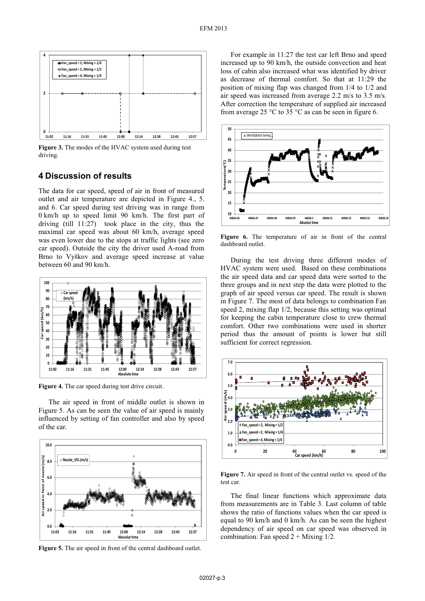

**Figure 3.** The modes of the HVAC system used during test driving.

#### **4 Discussion of results**

The data for car speed, speed of air in front of measured outlet and air temperature are depicted in Figure 4., 5. and 6. Car speed during test driving was in range from 0 km/h up to speed limit 90 km/h. The first part of driving (till 11:27) took place in the city, thus the maximal car speed was about 60 km/h, average speed was even lower due to the stops at traffic lights (see zero car speed). Outside the city the driver used A-road from Brno to Vyškov and average speed increase at value between 60 and 90 km/h.



Figure 4. The car speed during test drive circuit.

The air speed in front of middle outlet is shown in Figure 5. As can be seen the value of air speed is mainly influenced by setting of fan controller and also by speed of the car.



**Figure 5.** The air speed in front of the central dashboard outlet.

For example in 11:27 the test car left Brno and speed increased up to 90 km/h, the outside convection and heat loss of cabin also increased what was identified by driver as decrease of thermal comfort. So that at 11:29 the position of mixing flap was changed from 1/4 to 1/2 and air speed was increased from average 2.2 m/s to 3.5 m/s. After correction the temperature of supplied air increased from average 25 °C to 35 °C as can be seen in figure 6.



**Figure 6.** The temperature of air in front of the central dashboard outlet.

During the test driving three different modes of HVAC system were used. Based on these combinations the air speed data and car speed data were sorted to the three groups and in next step the data were plotted to the graph of air speed versus car speed. The result is shown in Figure 7. The most of data belongs to combination Fan speed 2, mixing flap 1/2, because this setting was optimal for keeping the cabin temperature close to crew thermal comfort. Other two combinations were used in shorter period thus the amount of points is lower but still sufficient for correct regression.



Figure 7. Air speed in front of the central outlet vs. speed of the test car.

The final linear functions which approximate data from measurements are in Table 3. Last column of table shows the ratio of functions values when the car speed is equal to 90 km/h and 0 km/h. As can be seen the highest dependency of air speed on car speed was observed in combination: Fan speed  $2 +$  Mixing  $1/2$ .